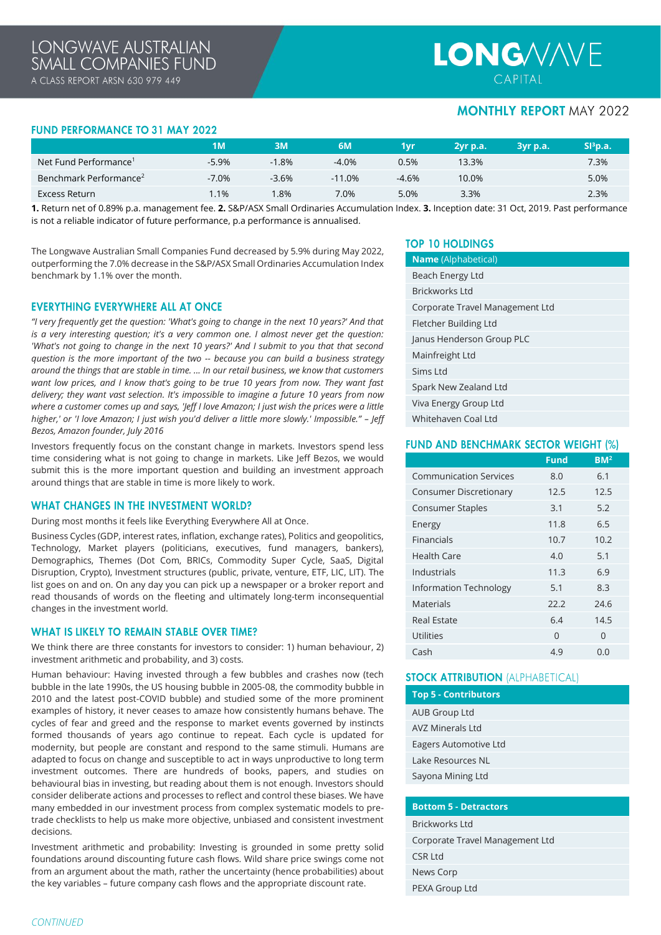# **LONG/V/N/E** CAPITAL

# **MONTHLY REPORT MAY 2022**

## **FUND PERFORMANCE TO 31 MAY 2022**

|                                    | ıм      |         | 6M       | 1vr     | 2yr p.a. | 3vr p.a. | SI <sup>3</sup> p.a. |
|------------------------------------|---------|---------|----------|---------|----------|----------|----------------------|
| Net Fund Performance <sup>1</sup>  | $-5.9%$ | $-1.8%$ | $-4.0%$  | 0.5%    | 13.3%    |          | 7.3%                 |
| Benchmark Performance <sup>2</sup> | $-7.0%$ | $-3.6%$ | $-11.0%$ | $-4.6%$ | 10.0%    |          | 5.0%                 |
| Excess Return                      | .1%     | .8%     | 7.0%     | 5.0%    | 3.3%     |          | 2.3%                 |

**1.** Return net of 0.89% p.a. management fee. **2.** S&P/ASX Small Ordinaries Accumulation Index. **3.** Inception date: 31 Oct, 2019. Past performance is not a reliable indicator of future performance, p.a performance is annualised.

The Longwave Australian Small Companies Fund decreased by 5.9% during May 2022, outperforming the 7.0% decrease in the S&P/ASX Small Ordinaries Accumulation Index benchmark by 1.1% over the month.

## **EVERYTHING EVERYWHERE ALL AT ONCE**

*"I very frequently get the question: 'What's going to change in the next 10 years?' And that is a very interesting question; it's a very common one. I almost never get the question: 'What's not going to change in the next 10 years?' And I submit to you that that second question is the more important of the two -- because you can build a business strategy around the things that are stable in time. ... In our retail business, we know that customers want low prices, and I know that's going to be true 10 years from now. They want fast delivery; they want vast selection. It's impossible to imagine a future 10 years from now where a customer comes up and says, 'Jeff I love Amazon; I just wish the prices were a little higher,' or 'I love Amazon; I just wish you'd deliver a little more slowly.' Impossible." – Jeff Bezos, Amazon founder, July 2016*

Investors frequently focus on the constant change in markets. Investors spend less time considering what is not going to change in markets. Like Jeff Bezos, we would submit this is the more important question and building an investment approach around things that are stable in time is more likely to work.

## **WHAT CHANGES IN THE INVESTMENT WORLD?**

During most months it feels like Everything Everywhere All at Once.

Business Cycles (GDP, interest rates, inflation, exchange rates), Politics and geopolitics, Technology, Market players (politicians, executives, fund managers, bankers), Demographics, Themes (Dot Com, BRICs, Commodity Super Cycle, SaaS, Digital Disruption, Crypto), Investment structures (public, private, venture, ETF, LIC, LIT). The list goes on and on. On any day you can pick up a newspaper or a broker report and read thousands of words on the fleeting and ultimately long-term inconsequential changes in the investment world.

### **WHAT IS LIKELY TO REMAIN STABLE OVER TIME?**

We think there are three constants for investors to consider: 1) human behaviour, 2) investment arithmetic and probability, and 3) costs.

Human behaviour: Having invested through a few bubbles and crashes now (tech bubble in the late 1990s, the US housing bubble in 2005-08, the commodity bubble in 2010 and the latest post-COVID bubble) and studied some of the more prominent examples of history, it never ceases to amaze how consistently humans behave. The cycles of fear and greed and the response to market events governed by instincts formed thousands of years ago continue to repeat. Each cycle is updated for modernity, but people are constant and respond to the same stimuli. Humans are adapted to focus on change and susceptible to act in ways unproductive to long term investment outcomes. There are hundreds of books, papers, and studies on behavioural bias in investing, but reading about them is not enough. Investors should consider deliberate actions and processes to reflect and control these biases. We have many embedded in our investment process from complex systematic models to pretrade checklists to help us make more objective, unbiased and consistent investment decisions.

Investment arithmetic and probability: Investing is grounded in some pretty solid foundations around discounting future cash flows. Wild share price swings come not from an argument about the math, rather the uncertainty (hence probabilities) about the key variables – future company cash flows and the appropriate discount rate.

## **TOP 10 HOLDINGS**

| <b>Name</b> (Alphabetical)      |  |  |
|---------------------------------|--|--|
| Beach Energy Ltd                |  |  |
| Brickworks Ltd                  |  |  |
| Corporate Travel Management Ltd |  |  |
| Fletcher Building Ltd           |  |  |
| Janus Henderson Group PLC       |  |  |
| Mainfreight Ltd                 |  |  |
| $Sims$ I td                     |  |  |
| Spark New Zealand Ltd           |  |  |
| Viva Energy Group Ltd           |  |  |
| Whitehaven Coal Ltd             |  |  |

## **FUND AND BENCHMARK SECTOR WEIGHT (%)**

|                               | <b>Fund</b> | BM <sup>2</sup> |  |
|-------------------------------|-------------|-----------------|--|
| <b>Communication Services</b> | 8.0         | 6.1             |  |
| <b>Consumer Discretionary</b> | 12.5        | 12.5            |  |
| <b>Consumer Staples</b>       | 3.1         | 5.2             |  |
| Energy                        | 11.8        | 6.5             |  |
| Financials                    | 10.7        | 10.2            |  |
| Health Care                   | 4.0         | 5.1             |  |
| Industrials                   | 11.3        | 6.9             |  |
| <b>Information Technology</b> | 5.1         | 8.3             |  |
| Materials                     | 22.2        | 24.6            |  |
| <b>Real Estate</b>            | 6.4         | 14.5            |  |
| <b>Utilities</b>              | $\Omega$    | 0               |  |
| Cash                          | 4.9         | 0.0             |  |

## **STOCK ATTRIBUTION (ALPHABETICAL)**

| Top 5 - Contributors  |  |
|-----------------------|--|
| <b>AUB Group Ltd</b>  |  |
| AVZ Minerals I td     |  |
| Eagers Automotive Ltd |  |
| Lake Resources NL     |  |
| Sayona Mining Ltd     |  |
|                       |  |

## **Bottom 5 - Detractors**

| Brickworks Ltd                  |
|---------------------------------|
| Corporate Travel Management Ltd |
| CSR Ltd                         |
| News Corp                       |
| PEXA Group Ltd                  |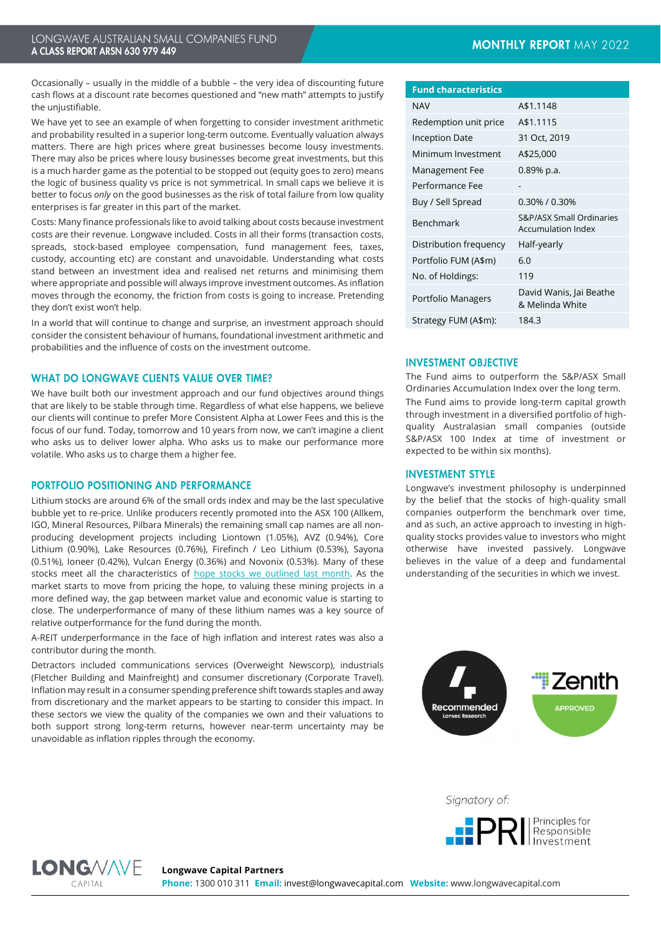Occasionally – usually in the middle of a bubble – the very idea of discounting future cash flows at a discount rate becomes questioned and "new math" attempts to justify the unjustifiable.

We have yet to see an example of when forgetting to consider investment arithmetic and probability resulted in a superior long-term outcome. Eventually valuation always matters. There are high prices where great businesses become lousy investments. There may also be prices where lousy businesses become great investments, but this is a much harder game as the potential to be stopped out (equity goes to zero) means the logic of business quality vs price is not symmetrical. In small caps we believe it is better to focus *only* on the good businesses as the risk of total failure from low quality enterprises is far greater in this part of the market.

Costs: Many finance professionals like to avoid talking about costs because investment costs are their revenue. Longwave included. Costs in all their forms (transaction costs, spreads, stock-based employee compensation, fund management fees, taxes, custody, accounting etc) are constant and unavoidable. Understanding what costs stand between an investment idea and realised net returns and minimising them where appropriate and possible will always improve investment outcomes. As inflation moves through the economy, the friction from costs is going to increase. Pretending they don't exist won't help.

In a world that will continue to change and surprise, an investment approach should consider the consistent behaviour of humans, foundational investment arithmetic and probabilities and the influence of costs on the investment outcome.

## **WHAT DO LONGWAVE CLIENTS VALUE OVER TIME?**

We have built both our investment approach and our fund objectives around things that are likely to be stable through time. Regardless of what else happens, we believe our clients will continue to prefer More Consistent Alpha at Lower Fees and this is the focus of our fund. Today, tomorrow and 10 years from now, we can't imagine a client who asks us to deliver lower alpha. Who asks us to make our performance more volatile. Who asks us to charge them a higher fee.

## PORTFOLIO POSITIONING AND PERFORMANCE

Lithium stocks are around 6% of the small ords index and may be the last speculative bubble yet to re-price. Unlike producers recently promoted into the ASX 100 (Allkem, IGO, Mineral Resources, Pilbara Minerals) the remaining small cap names are all nonproducing development projects including Liontown (1.05%), AVZ (0.94%), Core Lithium (0.90%), Lake Resources (0.76%), Firefinch / Leo Lithium (0.53%), Sayona (0.51%), Ioneer (0.42%), Vulcan Energy (0.36%) and Novonix (0.53%). Many of these stocks meet all the characteristics of [hope stocks we outlined last month.](https://longwavecapital.com/surviving-hope-mountain/) As the market starts to move from pricing the hope, to valuing these mining projects in a more defined way, the gap between market value and economic value is starting to close. The underperformance of many of these lithium names was a key source of relative outperformance for the fund during the month.

A-REIT underperformance in the face of high inflation and interest rates was also a contributor during the month.

Detractors included communications services (Overweight Newscorp), industrials (Fletcher Building and Mainfreight) and consumer discretionary (Corporate Travel). Inflation may result in a consumer spending preference shift towards staples and away from discretionary and the market appears to be starting to consider this impact. In these sectors we view the quality of the companies we own and their valuations to both support strong long-term returns, however near-term uncertainty may be unavoidable as inflation ripples through the economy.

| <b>Fund characteristics</b> |                                                |  |
|-----------------------------|------------------------------------------------|--|
| <b>NAV</b>                  | A\$1.1148                                      |  |
| Redemption unit price       | A\$1.1115                                      |  |
| Inception Date              | 31 Oct, 2019                                   |  |
| Minimum Investment          | A\$25,000                                      |  |
| Management Fee              | 0.89% p.a.                                     |  |
| Performance Fee             |                                                |  |
| Buy / Sell Spread           | 0.30% / 0.30%                                  |  |
| Benchmark                   | S&P/ASX Small Ordinaries<br>Accumulation Index |  |
| Distribution frequency      | Half-yearly                                    |  |
| Portfolio FUM (A\$m)        | 6.0                                            |  |
| No. of Holdings:            | 119                                            |  |
| Portfolio Managers          | David Wanis, Jai Beathe<br>& Melinda White     |  |
| Strategy FUM (A\$m):        | 184.3                                          |  |

## **INVESTMENT OBJECTIVE**

The Fund aims to outperform the S&P/ASX Small Ordinaries Accumulation Index over the long term. The Fund aims to provide long-term capital growth through investment in a diversified portfolio of highquality Australasian small companies (outside S&P/ASX 100 Index at time of investment or expected to be within six months).

### **INVESTMENT STYLE**

Longwave's investment philosophy is underpinned by the belief that the stocks of high-quality small companies outperform the benchmark over time, and as such, an active approach to investing in highquality stocks provides value to investors who might otherwise have invested passively. Longwave believes in the value of a deep and fundamental understanding of the securities in which we invest.



Signatory of: